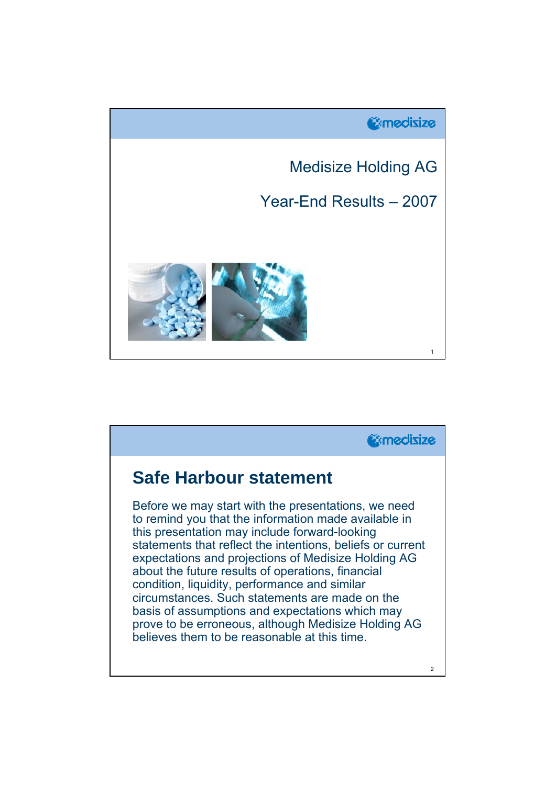

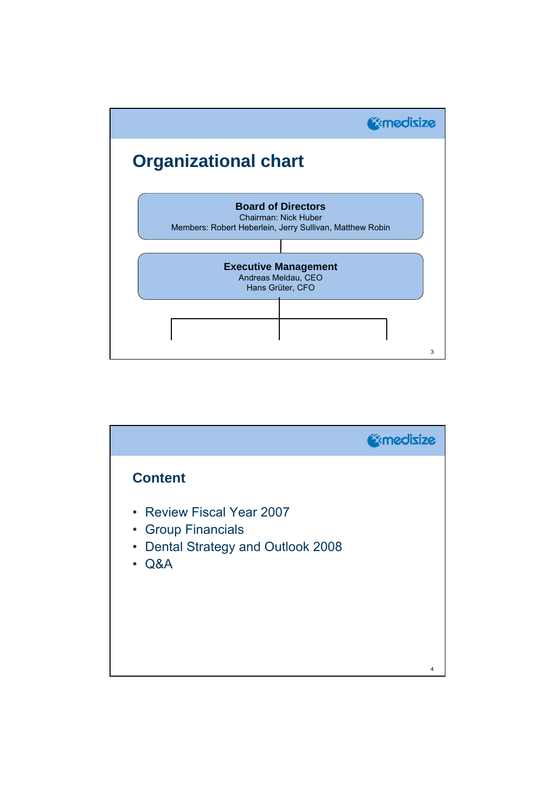

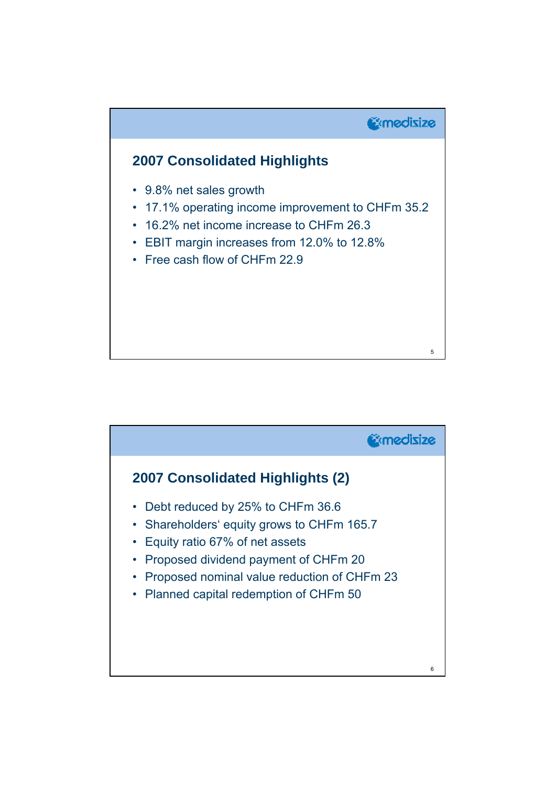

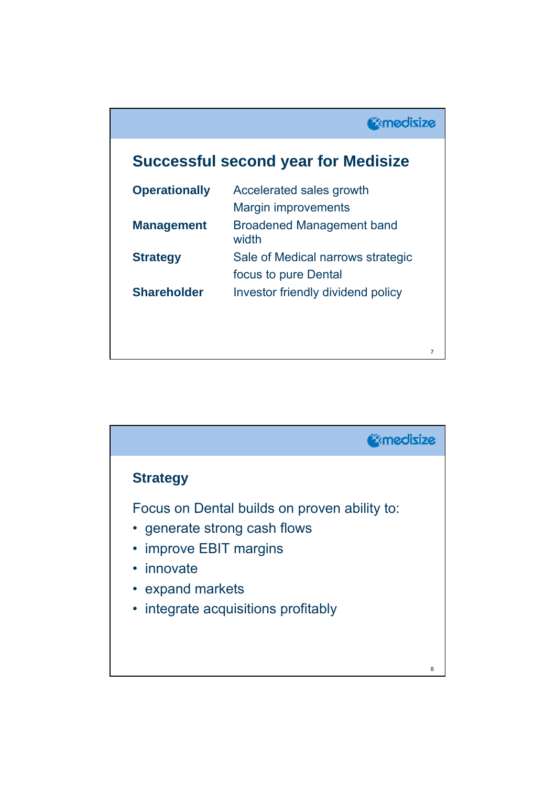## **Successful second year for Medisize**

| <b>Operationally</b> | Accelerated sales growth                  |
|----------------------|-------------------------------------------|
|                      | <b>Margin improvements</b>                |
| <b>Management</b>    | <b>Broadened Management band</b><br>width |
| <b>Strategy</b>      | Sale of Medical narrows strategic         |
|                      | focus to pure Dental                      |
| <b>Shareholder</b>   | Investor friendly dividend policy         |
|                      |                                           |
|                      |                                           |

7

**Gomedisize** 

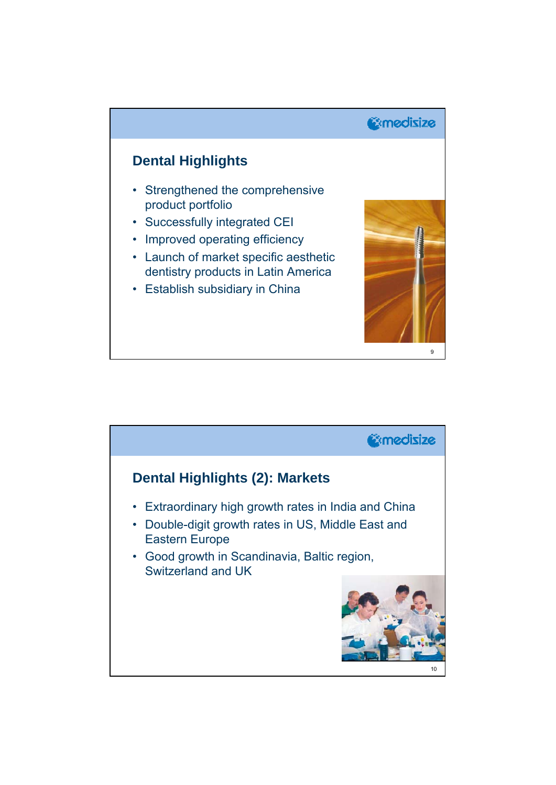

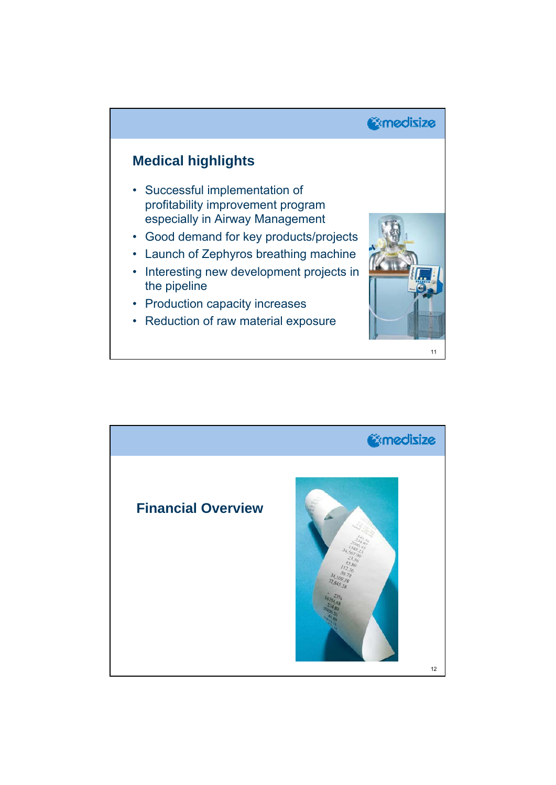

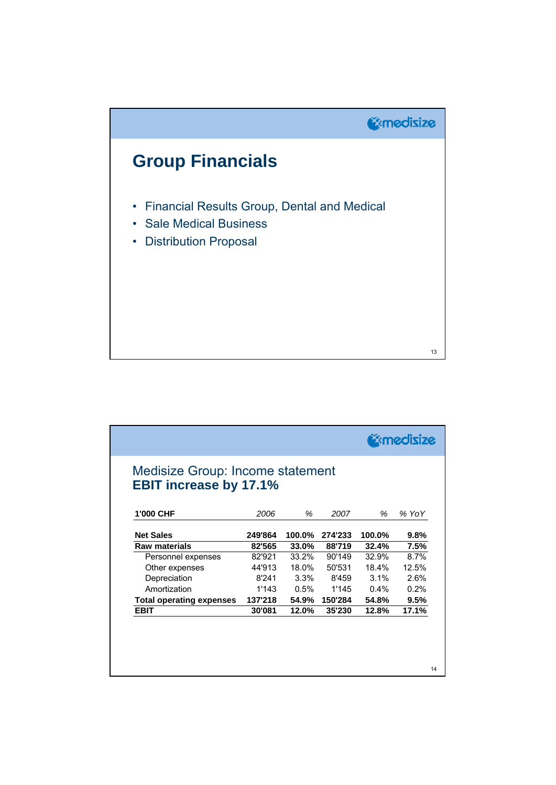

| Medisize Group: Income statement<br><b>EBIT increase by 17.1%</b> |         |        |         |         |       |
|-------------------------------------------------------------------|---------|--------|---------|---------|-------|
| 1'000 CHF                                                         | 2006    | %      | 2007    | ℅       | % YoY |
| <b>Net Sales</b>                                                  | 249'864 | 100.0% | 274'233 | 100.0%  | 9.8%  |
| <b>Raw materials</b>                                              | 82'565  | 33.0%  | 88'719  | 32.4%   | 7.5%  |
| Personnel expenses                                                | 82'921  | 33.2%  | 90'149  | 32.9%   | 8.7%  |
| Other expenses                                                    | 44'913  | 18.0%  | 50'531  | 18.4%   | 12.5% |
| Depreciation                                                      | 8'241   | 3.3%   | 8'459   | $3.1\%$ | 2.6%  |
| Amortization                                                      | 1'143   | 0.5%   | 1'145   | $0.4\%$ | 0.2%  |
| <b>Total operating expenses</b>                                   | 137'218 | 54.9%  | 150'284 | 54.8%   | 9.5%  |
| <b>EBIT</b>                                                       | 30'081  | 12.0%  | 35'230  | 12.8%   | 17.1% |
|                                                                   |         |        |         |         |       |
|                                                                   |         |        |         |         |       |
|                                                                   |         |        |         |         |       |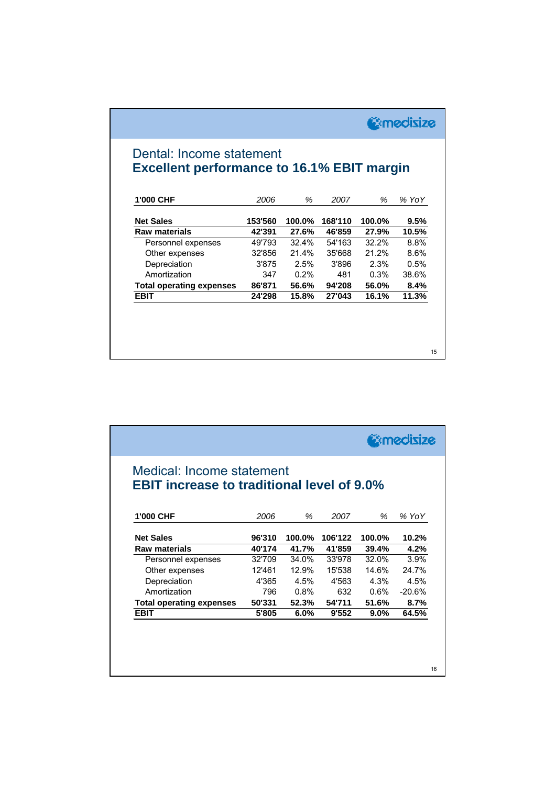| <b>C</b> amedisize |  |
|--------------------|--|
|--------------------|--|

## Dental: Income statement **Excellent performance to 16.1% EBIT margin**

| 1'000 CHF                       | 2006    | %      | 2007    | ℅      | % YoY |
|---------------------------------|---------|--------|---------|--------|-------|
| <b>Net Sales</b>                | 153'560 | 100.0% | 168'110 | 100.0% | 9.5%  |
| <b>Raw materials</b>            | 42'391  | 27.6%  | 46'859  | 27.9%  | 10.5% |
| Personnel expenses              | 49'793  | 32.4%  | 54'163  | 32.2%  | 8.8%  |
| Other expenses                  | 32'856  | 21.4%  | 35'668  | 21.2%  | 8.6%  |
| Depreciation                    | 3'875   | 2.5%   | 3'896   | 2.3%   | 0.5%  |
| Amortization                    | 347     | 0.2%   | 481     | 0.3%   | 38.6% |
| <b>Total operating expenses</b> | 86'871  | 56.6%  | 94'208  | 56.0%  | 8.4%  |
| <b>EBIT</b>                     | 24'298  | 15.8%  | 27'043  | 16.1%  | 11.3% |

|        | <b>EBIT increase to traditional level of 9.0%</b> |           |
|--------|---------------------------------------------------|-----------|
|        |                                                   |           |
| %      | 2007                                              | % YoY     |
|        |                                                   |           |
| 100.0% | 106'122                                           | 10.2%     |
| 39.4%  | 41'859                                            | 4.2%      |
| 32.0%  | 33'978                                            | 3.9%      |
| 14.6%  | 15'538                                            | 24.7%     |
| 4.3%   | 4'563                                             | 4.5%      |
| 0.6%   | 632                                               | $-20.6\%$ |
| 51.6%  | 54'711                                            | 8.7%      |
|        | 9'552<br>9.0%                                     | 64.5%     |
|        |                                                   |           |
|        |                                                   |           |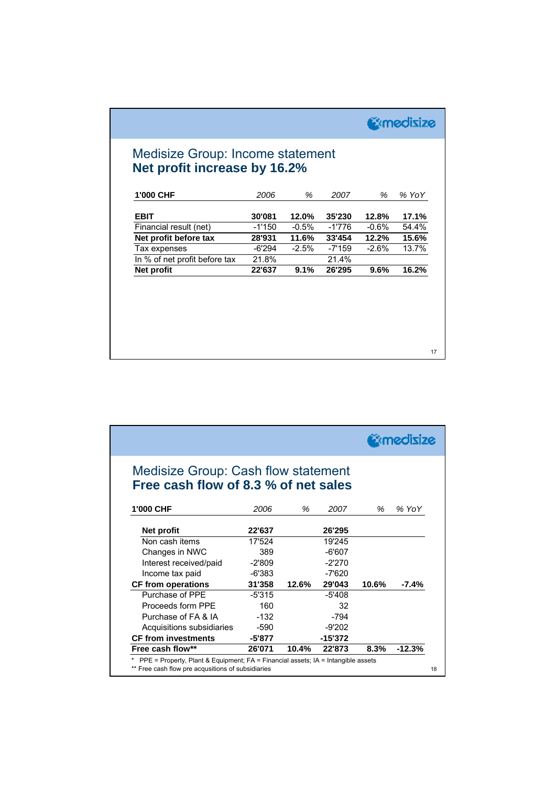*<u>@medisize</u>* 

## Medisize Group: Income statement **Net profit increase by 16.2%**

| 1'000 CHF                     | 2006     | %       | 2007     | %       | $%$ YoY |
|-------------------------------|----------|---------|----------|---------|---------|
| <b>EBIT</b>                   | 30'081   | 12.0%   | 35'230   | 12.8%   | 17.1%   |
| Financial result (net)        | $-1'150$ | $-0.5%$ | -1'776   | $-0.6%$ | 54.4%   |
| Net profit before tax         | 28'931   | 11.6%   | 33'454   | 12.2%   | 15.6%   |
| Tax expenses                  | $-6'294$ | $-2.5%$ | $-7'159$ | $-2.6%$ | 13.7%   |
| In % of net profit before tax | 21.8%    |         | 21.4%    |         |         |
| Net profit                    | 22'637   | 9.1%    | 26'295   | 9.6%    | 16.2%   |
|                               |          |         |          |         |         |
|                               |          |         |          |         |         |
|                               |          |         |          |         |         |
|                               |          |         |          |         |         |
|                               |          |         |          |         |         |
|                               |          |         |          |         |         |
|                               |          |         |          |         |         |

|                                                                                                                                       |          |       |           |       | <b>@medisize</b> |  |
|---------------------------------------------------------------------------------------------------------------------------------------|----------|-------|-----------|-------|------------------|--|
| <b>Medisize Group: Cash flow statement</b>                                                                                            |          |       |           |       |                  |  |
| Free cash flow of 8.3 % of net sales                                                                                                  |          |       |           |       |                  |  |
| 1'000 CHF                                                                                                                             | 2006     | %     | 2007      | ℅     | % YoY            |  |
| <b>Net profit</b>                                                                                                                     | 22'637   |       | 26'295    |       |                  |  |
| Non cash items                                                                                                                        | 17'524   |       | 19'245    |       |                  |  |
| Changes in NWC                                                                                                                        | 389      |       | $-6'607$  |       |                  |  |
| Interest received/paid                                                                                                                | $-2'809$ |       | $-2'270$  |       |                  |  |
| Income tax paid                                                                                                                       | -6'383   |       | -7'620    |       |                  |  |
| <b>CF from operations</b>                                                                                                             | 31'358   | 12.6% | 29'043    | 10.6% | $-7.4%$          |  |
| Purchase of PPF                                                                                                                       | $-5'315$ |       | $-5'408$  |       |                  |  |
| Proceeds form PPF                                                                                                                     | 160      |       | 32        |       |                  |  |
| Purchase of FA & IA                                                                                                                   | $-132$   |       | -794      |       |                  |  |
| Acquisitions subsidiaries                                                                                                             | -590     |       | $-9'202$  |       |                  |  |
| <b>CF from investments</b>                                                                                                            | $-5'877$ |       | $-15'372$ |       |                  |  |
| Free cash flow**                                                                                                                      | 26'071   | 10.4% | 22'873    | 8.3%  | $-12.3%$         |  |
| PPE = Property, Plant & Equipment; FA = Financial assets; IA = Intangible assets<br>** Free cash flow pre acqusitions of subsidiaries |          |       |           |       |                  |  |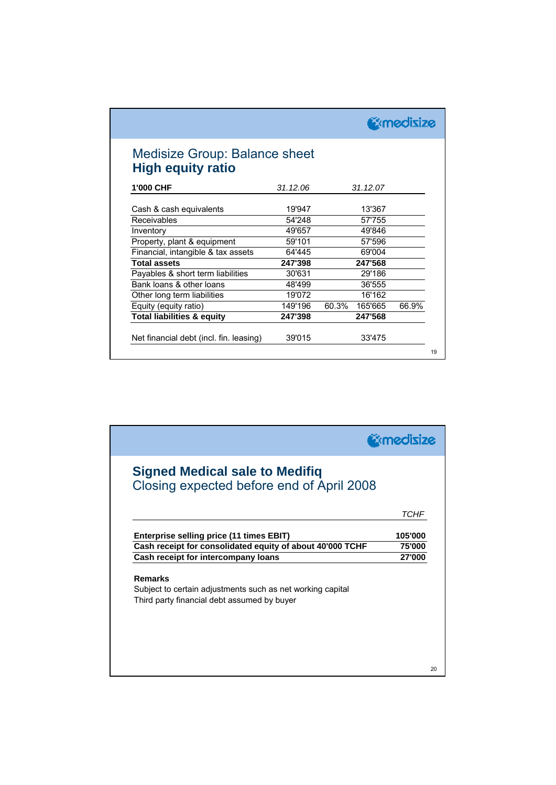| <b>Medisize Group: Balance sheet</b>    |          |                  |       |
|-----------------------------------------|----------|------------------|-------|
| <b>High equity ratio</b>                |          |                  |       |
| 1'000 CHF                               | 31.12.06 | 31.12.07         |       |
| Cash & cash equivalents                 | 19'947   | 13'367           |       |
| Receivables                             | 54'248   | 57'755           |       |
| Inventory                               | 49'657   | 49'846           |       |
| Property, plant & equipment             | 59'101   | 57'596           |       |
| Financial, intangible & tax assets      | 64'445   | 69'004           |       |
| <b>Total assets</b>                     | 247'398  | 247'568          |       |
| Payables & short term liabilities       | 30'631   | 29'186           |       |
| Bank loans & other loans                | 48'499   | 36'555           |       |
| Other long term liabilities             | 19'072   | 16'162           |       |
| Equity (equity ratio)                   | 149'196  | 60.3%<br>165'665 | 66.9% |
| <b>Total liabilities &amp; equity</b>   | 247'398  | 247'568          |       |
| Net financial debt (incl. fin. leasing) | 39'015   | 33'475           |       |

|                                                                                                                             | <b>Exmedisize</b> |
|-----------------------------------------------------------------------------------------------------------------------------|-------------------|
| <b>Signed Medical sale to Medifiq</b><br>Closing expected before end of April 2008                                          |                   |
|                                                                                                                             | TCHF              |
| Enterprise selling price (11 times EBIT)                                                                                    | 105'000           |
| Cash receipt for consolidated equity of about 40'000 TCHF                                                                   | 75'000            |
| Cash receipt for intercompany loans                                                                                         | 27'000            |
| <b>Remarks</b><br>Subject to certain adjustments such as net working capital<br>Third party financial debt assumed by buyer |                   |
|                                                                                                                             |                   |
|                                                                                                                             |                   |
|                                                                                                                             |                   |
|                                                                                                                             |                   |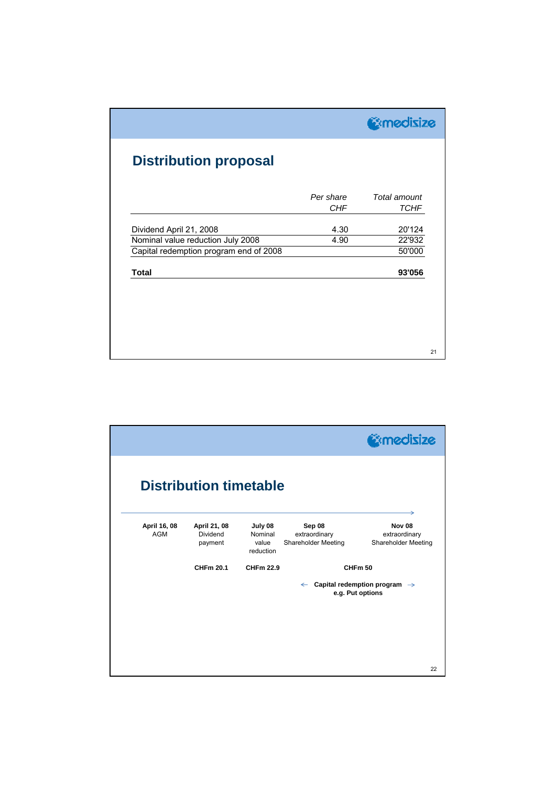|                                        |                         | <b>Comedisize</b>           |
|----------------------------------------|-------------------------|-----------------------------|
| <b>Distribution proposal</b>           |                         |                             |
|                                        | Per share<br><b>CHF</b> | Total amount<br><b>TCHF</b> |
| Dividend April 21, 2008                | 4.30                    | 20'124                      |
| Nominal value reduction July 2008      | 4.90                    | 22'932                      |
| Capital redemption program end of 2008 |                         | 50'000                      |
| <b>Total</b>                           |                         | 93'056                      |

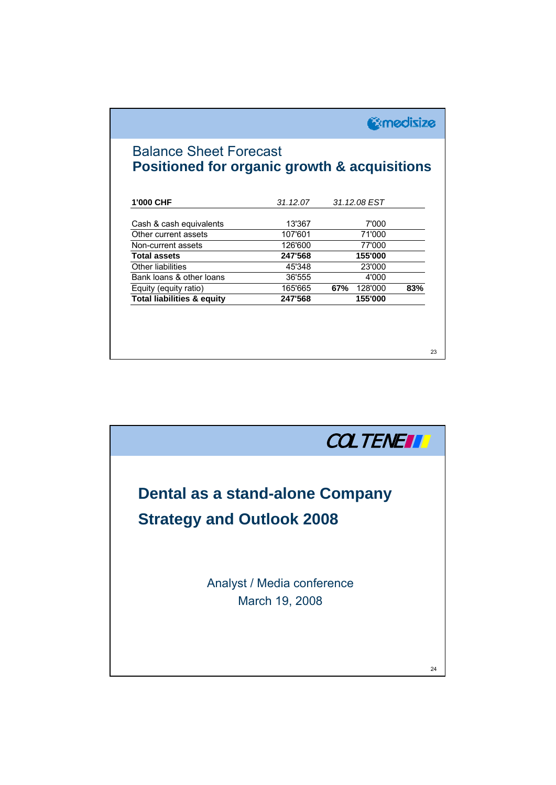**Gomedisize** 

## Balance Sheet Forecast **Positioned for organic growth & acquisitions**

| 1'000 CHF                             | 31.12.07 | 31.12.08 EST   |     |
|---------------------------------------|----------|----------------|-----|
|                                       |          |                |     |
| Cash & cash equivalents               | 13'367   | 7'000          |     |
| Other current assets                  | 107'601  | 71'000         |     |
| Non-current assets                    | 126'600  | 77'000         |     |
| <b>Total assets</b>                   | 247'568  | 155'000        |     |
| Other liabilities                     | 45'348   | 23'000         |     |
| Bank loans & other loans              | 36'555   | 4'000          |     |
| Equity (equity ratio)                 | 165'665  | 67%<br>128'000 | 83% |
| <b>Total liabilities &amp; equity</b> | 247'568  | 155'000        |     |

23

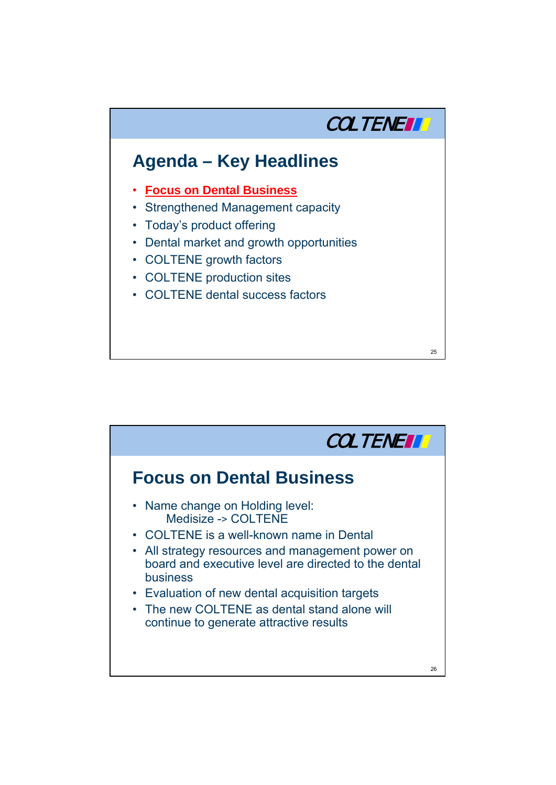

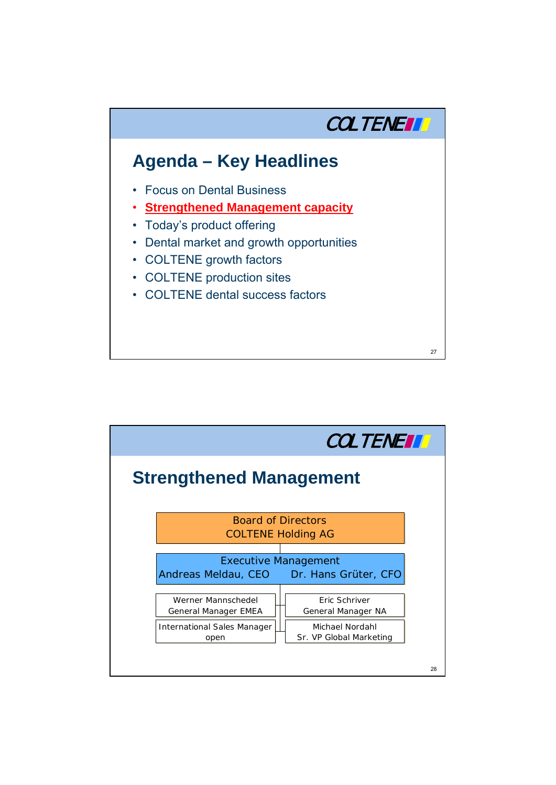

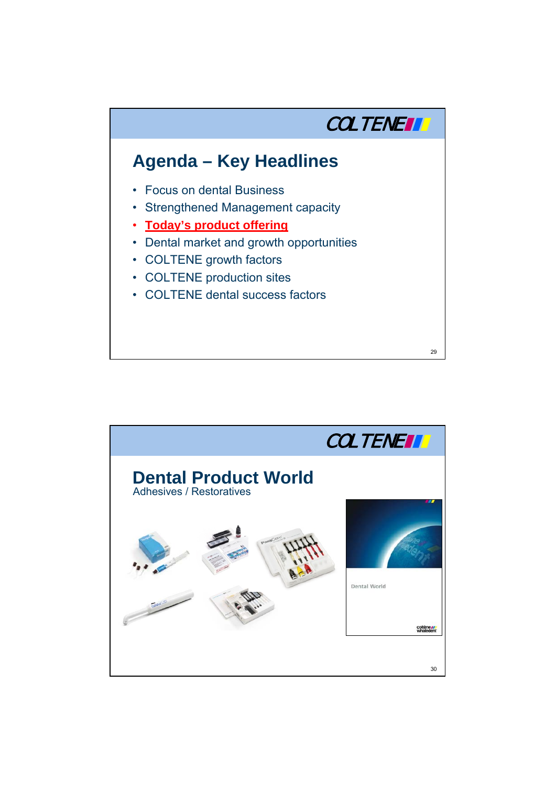

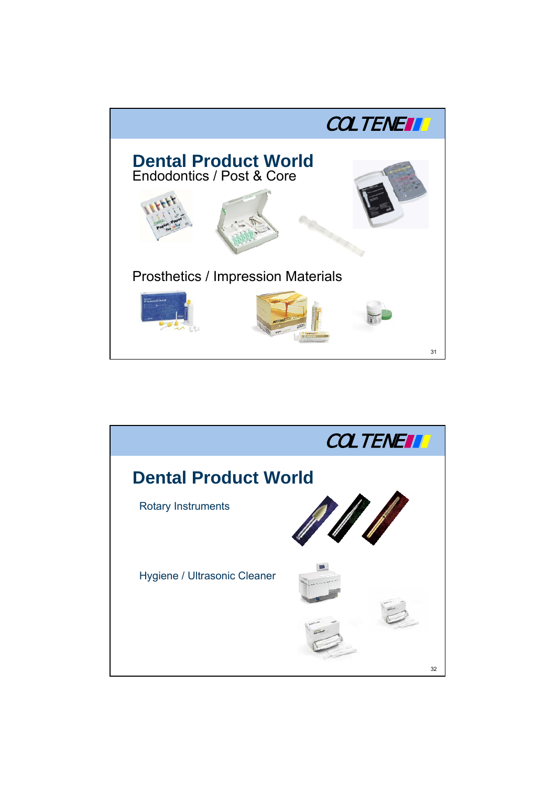

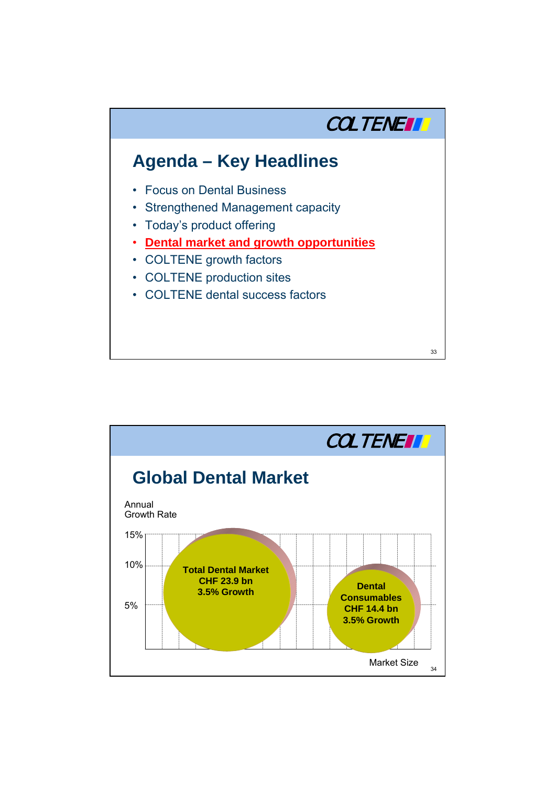

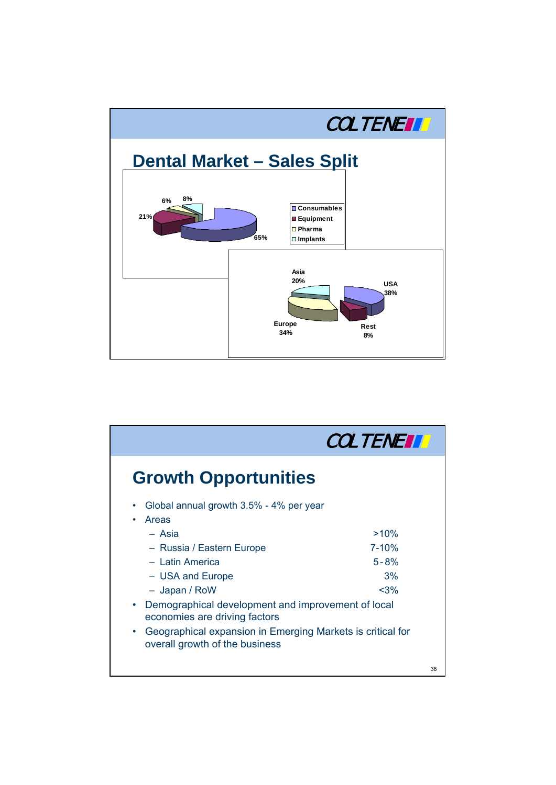

|                                                                                                           | <b>COLTENETT</b> |
|-----------------------------------------------------------------------------------------------------------|------------------|
| <b>Growth Opportunities</b>                                                                               |                  |
| Global annual growth 3.5% - 4% per year<br>Areas                                                          |                  |
| - Asia                                                                                                    | $>10\%$          |
| - Russia / Eastern Europe                                                                                 | $7 - 10%$        |
| - Latin America                                                                                           | $5 - 8%$         |
| - USA and Europe                                                                                          | 3%               |
| - Japan / RoW                                                                                             | $3%$             |
| Demographical development and improvement of local<br>$\bullet$<br>economies are driving factors          |                  |
| Geographical expansion in Emerging Markets is critical for<br>$\bullet$<br>overall growth of the business |                  |
|                                                                                                           | 36               |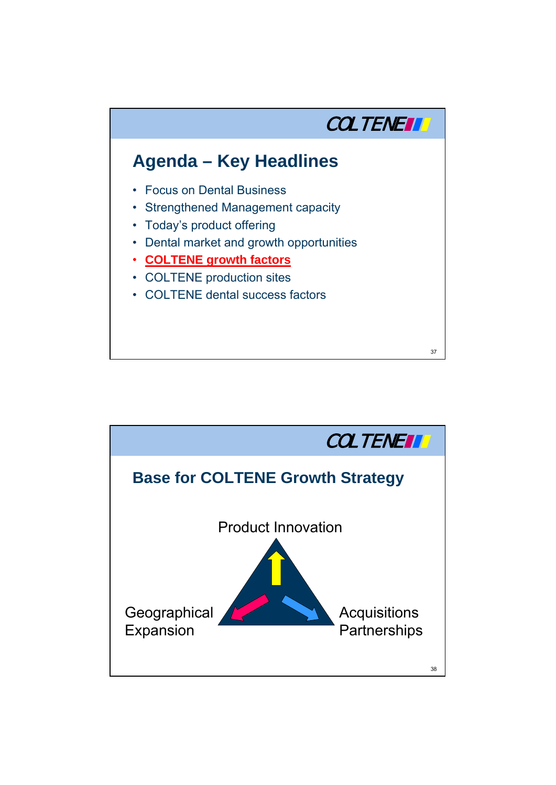

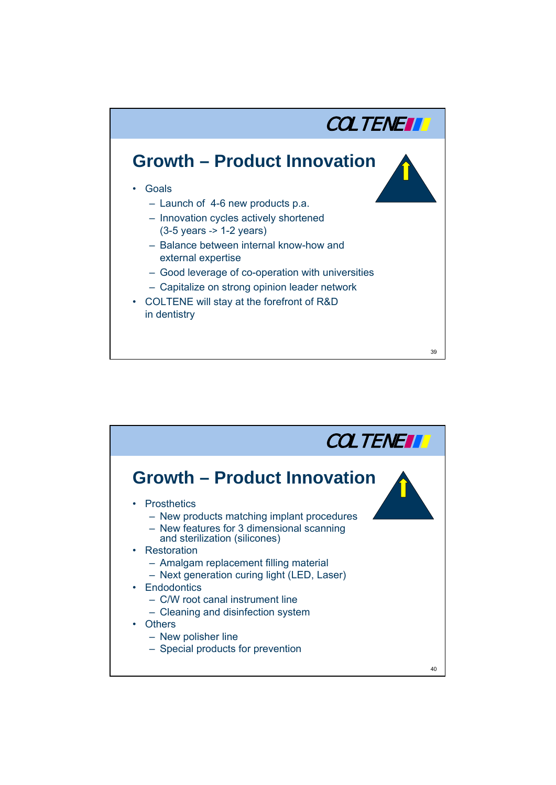

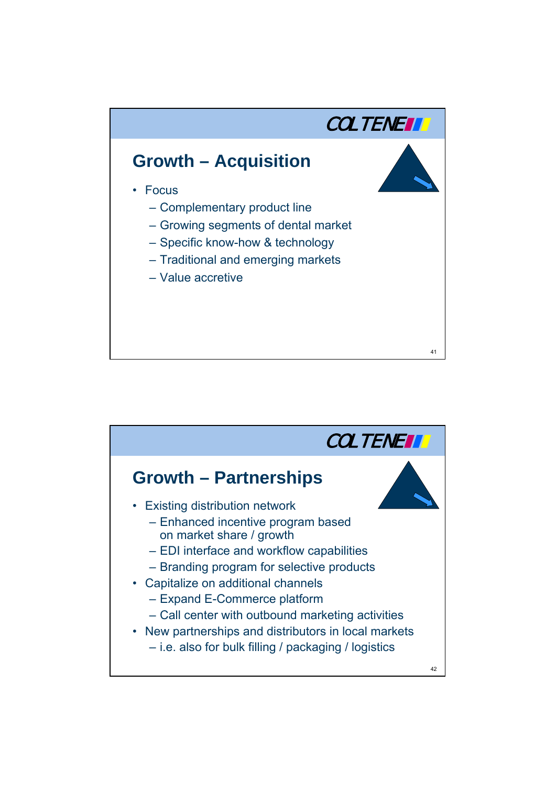

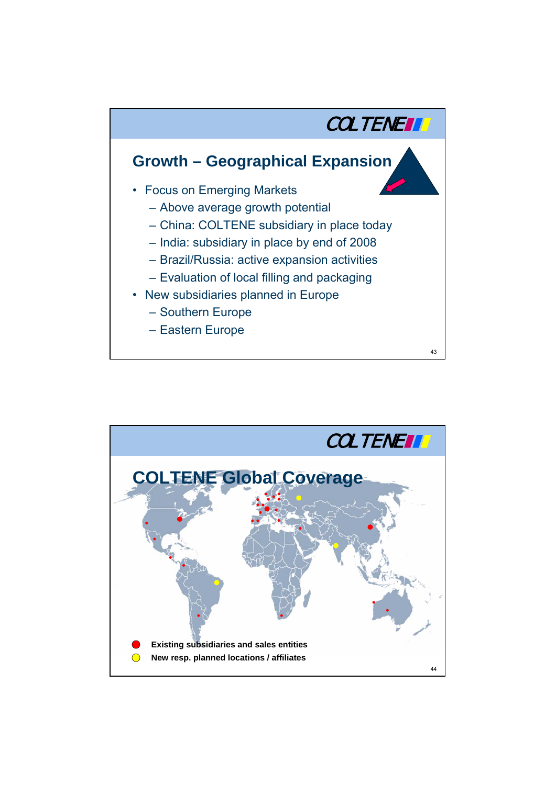

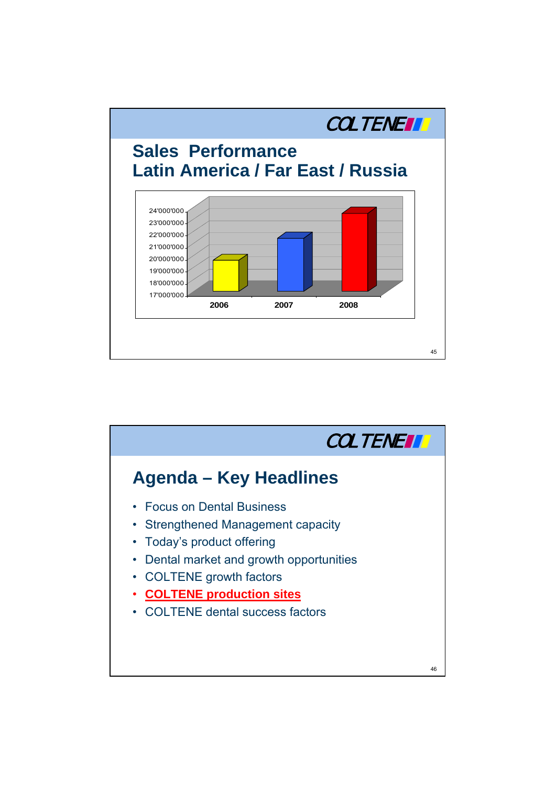

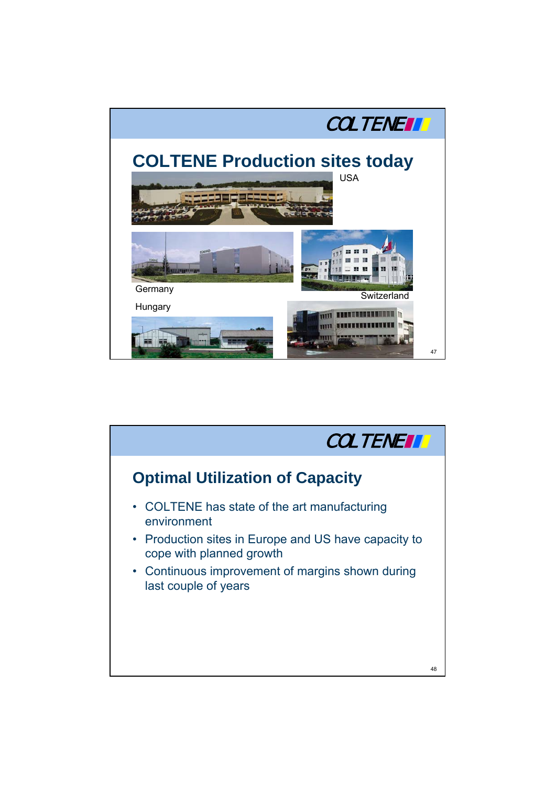

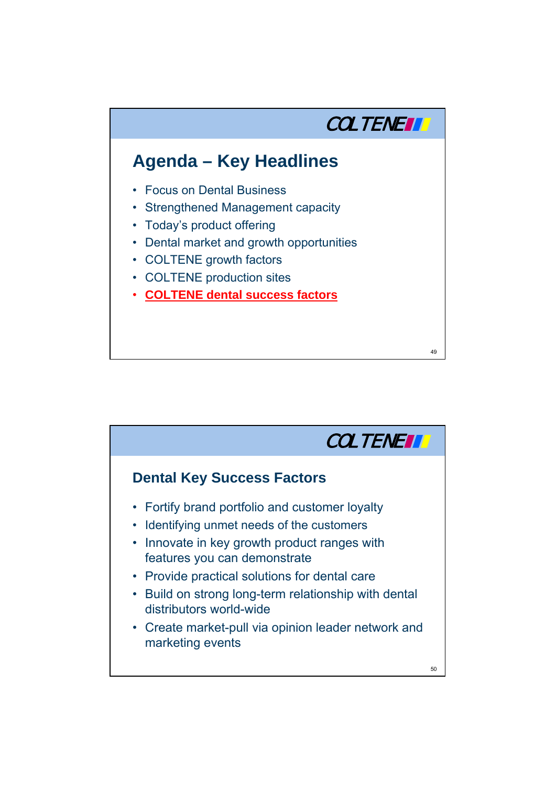

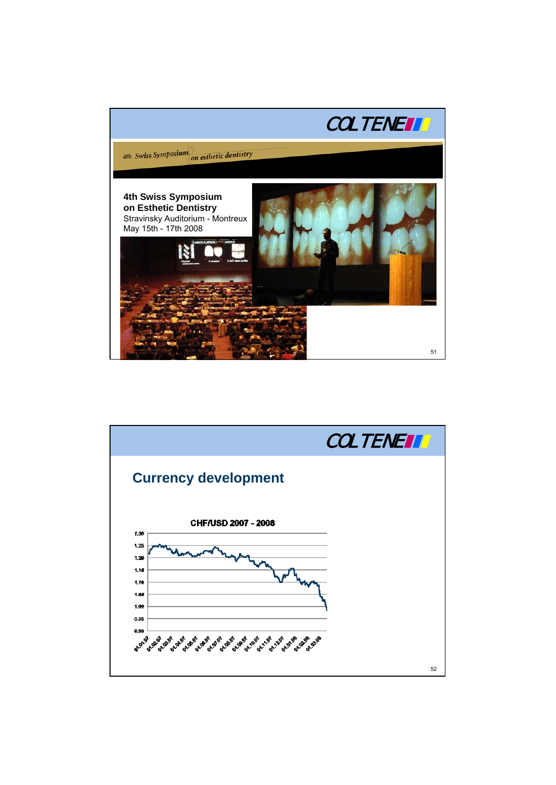